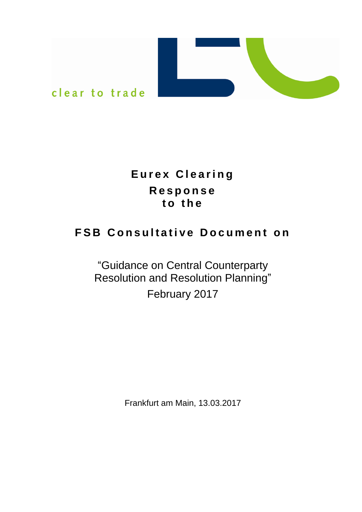

# **E u r e x C l e a r i n g R e s p o n s e t o t h e**

# **FSB Consultative Document on**

# "Guidance on Central Counterparty Resolution and Resolution Planning" February 2017

Frankfurt am Main, 13.03.2017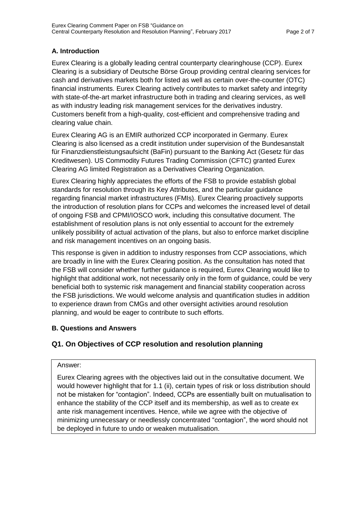## **A. Introduction**

Eurex Clearing is a globally leading central counterparty clearinghouse (CCP). Eurex Clearing is a subsidiary of Deutsche Börse Group providing central clearing services for cash and derivatives markets both for listed as well as certain over-the-counter (OTC) financial instruments. Eurex Clearing actively contributes to market safety and integrity with state-of-the-art market infrastructure both in trading and clearing services, as well as with industry leading risk management services for the derivatives industry. Customers benefit from a high-quality, cost-efficient and comprehensive trading and clearing value chain.

Eurex Clearing AG is an EMIR authorized CCP incorporated in Germany. Eurex Clearing is also licensed as a credit institution under supervision of the Bundesanstalt für Finanzdienstleistungsaufsicht (BaFin) pursuant to the Banking Act (Gesetz für das Kreditwesen). US Commodity Futures Trading Commission (CFTC) granted Eurex Clearing AG limited Registration as a Derivatives Clearing Organization.

Eurex Clearing highly appreciates the efforts of the FSB to provide establish global standards for resolution through its Key Attributes, and the particular guidance regarding financial market infrastructures (FMIs). Eurex Clearing proactively supports the introduction of resolution plans for CCPs and welcomes the increased level of detail of ongoing FSB and CPMI/IOSCO work, including this consultative document. The establishment of resolution plans is not only essential to account for the extremely unlikely possibility of actual activation of the plans, but also to enforce market discipline and risk management incentives on an ongoing basis.

This response is given in addition to industry responses from CCP associations, which are broadly in line with the Eurex Clearing position. As the consultation has noted that the FSB will consider whether further guidance is required, Eurex Clearing would like to highlight that additional work, not necessarily only in the form of guidance, could be very beneficial both to systemic risk management and financial stability cooperation across the FSB jurisdictions. We would welcome analysis and quantification studies in addition to experience drawn from CMGs and other oversight activities around resolution planning, and would be eager to contribute to such efforts.

## **B. Questions and Answers**

# **Q1. On Objectives of CCP resolution and resolution planning**

## Answer:

Eurex Clearing agrees with the objectives laid out in the consultative document. We would however highlight that for 1.1 (ii), certain types of risk or loss distribution should not be mistaken for "contagion". Indeed, CCPs are essentially built on mutualisation to enhance the stability of the CCP itself and its membership, as well as to create ex ante risk management incentives. Hence, while we agree with the objective of minimizing unnecessary or needlessly concentrated "contagion", the word should not be deployed in future to undo or weaken mutualisation.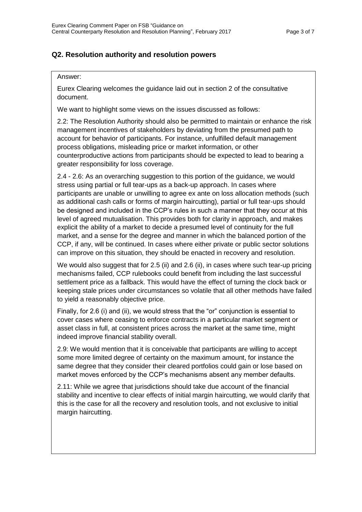## **Q2. Resolution authority and resolution powers**

#### Answer:

Eurex Clearing welcomes the guidance laid out in section 2 of the consultative document.

We want to highlight some views on the issues discussed as follows:

2.2: The Resolution Authority should also be permitted to maintain or enhance the risk management incentives of stakeholders by deviating from the presumed path to account for behavior of participants. For instance, unfulfilled default management process obligations, misleading price or market information, or other counterproductive actions from participants should be expected to lead to bearing a greater responsibility for loss coverage.

2.4 - 2.6: As an overarching suggestion to this portion of the guidance, we would stress using partial or full tear-ups as a back-up approach. In cases where participants are unable or unwilling to agree ex ante on loss allocation methods (such as additional cash calls or forms of margin haircutting), partial or full tear-ups should be designed and included in the CCP's rules in such a manner that they occur at this level of agreed mutualisation. This provides both for clarity in approach, and makes explicit the ability of a market to decide a presumed level of continuity for the full market, and a sense for the degree and manner in which the balanced portion of the CCP, if any, will be continued. In cases where either private or public sector solutions can improve on this situation, they should be enacted in recovery and resolution.

We would also suggest that for 2.5 (ii) and 2.6 (ii), in cases where such tear-up pricing mechanisms failed, CCP rulebooks could benefit from including the last successful settlement price as a fallback. This would have the effect of turning the clock back or keeping stale prices under circumstances so volatile that all other methods have failed to yield a reasonably objective price.

Finally, for 2.6 (i) and (ii), we would stress that the "or" conjunction is essential to cover cases where ceasing to enforce contracts in a particular market segment or asset class in full, at consistent prices across the market at the same time, might indeed improve financial stability overall.

2.9: We would mention that it is conceivable that participants are willing to accept some more limited degree of certainty on the maximum amount, for instance the same degree that they consider their cleared portfolios could gain or lose based on market moves enforced by the CCP's mechanisms absent any member defaults.

2.11: While we agree that jurisdictions should take due account of the financial stability and incentive to clear effects of initial margin haircutting, we would clarify that this is the case for all the recovery and resolution tools, and not exclusive to initial margin haircutting.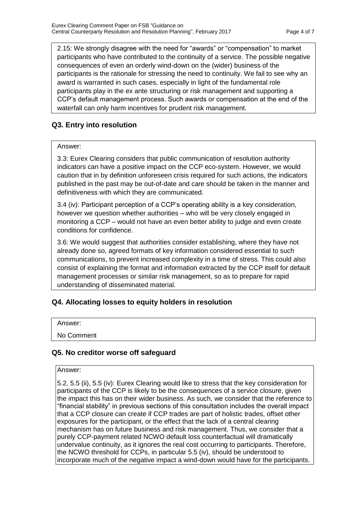2.15: We strongly disagree with the need for "awards" or "compensation" to market participants who have contributed to the continuity of a service. The possible negative consequences of even an orderly wind-down on the (wider) business of the participants is the rationale for stressing the need to continuity. We fail to see why an award is warranted in such cases, especially in light of the fundamental role participants play in the ex ante structuring or risk management and supporting a CCP's default management process. Such awards or compensation at the end of the waterfall can only harm incentives for prudent risk management.

## **Q3. Entry into resolution**

## Answer:

3.3: Eurex Clearing considers that public communication of resolution authority indicators can have a positive impact on the CCP eco-system. However, we would caution that in by definition unforeseen crisis required for such actions, the indicators published in the past may be out-of-date and care should be taken in the manner and definitiveness with which they are communicated.

3.4 (iv): Participant perception of a CCP's operating ability is a key consideration, however we question whether authorities – who will be very closely engaged in monitoring a CCP – would not have an even better ability to judge and even create conditions for confidence.

3.6: We would suggest that authorities consider establishing, where they have not already done so, agreed formats of key information considered essential to such communications, to prevent increased complexity in a time of stress. This could also consist of explaining the format and information extracted by the CCP itself for default management processes or similar risk management, so as to prepare for rapid understanding of disseminated material.

## **Q4. Allocating losses to equity holders in resolution**

Answer:

No Comment

## **Q5. No creditor worse off safeguard**

#### Answer:

5.2, 5.5 (ii), 5.5 (iv): Eurex Clearing would like to stress that the key consideration for participants of the CCP is likely to be the consequences of a service closure, given the impact this has on their wider business. As such, we consider that the reference to "financial stability" in previous sections of this consultation includes the overall impact that a CCP closure can create if CCP trades are part of holistic trades, offset other exposures for the participant, or the effect that the lack of a central clearing mechanism has on future business and risk management. Thus, we consider that a purely CCP-payment related NCWO default loss counterfactual will dramatically undervalue continuity, as it ignores the real cost occurring to participants. Therefore, the NCWO threshold for CCPs, in particular 5.5 (iv), should be understood to incorporate much of the negative impact a wind-down would have for the participants.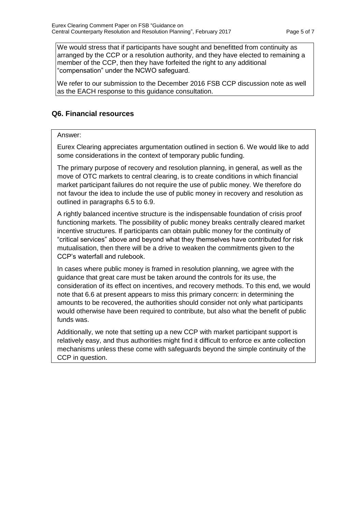We would stress that if participants have sought and benefitted from continuity as arranged by the CCP or a resolution authority, and they have elected to remaining a member of the CCP, then they have forfeited the right to any additional "compensation" under the NCWO safeguard.

We refer to our submission to the December 2016 FSB CCP discussion note as well as the EACH response to this guidance consultation.

## **Q6. Financial resources**

### Answer:

Eurex Clearing appreciates argumentation outlined in section 6. We would like to add some considerations in the context of temporary public funding.

The primary purpose of recovery and resolution planning, in general, as well as the move of OTC markets to central clearing, is to create conditions in which financial market participant failures do not require the use of public money. We therefore do not favour the idea to include the use of public money in recovery and resolution as outlined in paragraphs 6.5 to 6.9.

A rightly balanced incentive structure is the indispensable foundation of crisis proof functioning markets. The possibility of public money breaks centrally cleared market incentive structures. If participants can obtain public money for the continuity of "critical services" above and beyond what they themselves have contributed for risk mutualisation, then there will be a drive to weaken the commitments given to the CCP's waterfall and rulebook.

In cases where public money is framed in resolution planning, we agree with the guidance that great care must be taken around the controls for its use, the consideration of its effect on incentives, and recovery methods. To this end, we would note that 6.6 at present appears to miss this primary concern: in determining the amounts to be recovered, the authorities should consider not only what participants would otherwise have been required to contribute, but also what the benefit of public funds was.

Additionally, we note that setting up a new CCP with market participant support is relatively easy, and thus authorities might find it difficult to enforce ex ante collection mechanisms unless these come with safeguards beyond the simple continuity of the CCP in question.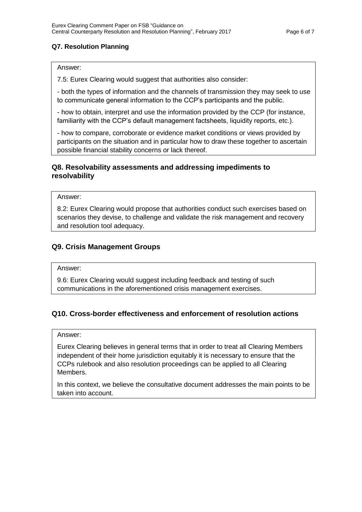## **Q7. Resolution Planning**

### Answer:

7.5: Eurex Clearing would suggest that authorities also consider:

- both the types of information and the channels of transmission they may seek to use to communicate general information to the CCP's participants and the public.

- how to obtain, interpret and use the information provided by the CCP (for instance, familiarity with the CCP's default management factsheets, liquidity reports, etc.).

- how to compare, corroborate or evidence market conditions or views provided by participants on the situation and in particular how to draw these together to ascertain possible financial stability concerns or lack thereof.

## **Q8. Resolvability assessments and addressing impediments to resolvability**

Answer:

8.2: Eurex Clearing would propose that authorities conduct such exercises based on scenarios they devise, to challenge and validate the risk management and recovery and resolution tool adequacy.

## **Q9. Crisis Management Groups**

#### Answer:

9.6: Eurex Clearing would suggest including feedback and testing of such communications in the aforementioned crisis management exercises.

## **Q10. Cross-border effectiveness and enforcement of resolution actions**

#### Answer:

Eurex Clearing believes in general terms that in order to treat all Clearing Members independent of their home jurisdiction equitably it is necessary to ensure that the CCPs rulebook and also resolution proceedings can be applied to all Clearing Members.

In this context, we believe the consultative document addresses the main points to be taken into account.